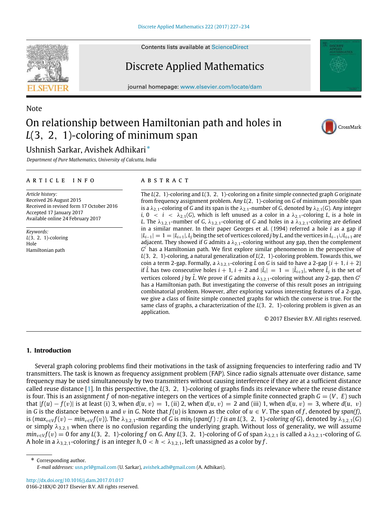Contents lists available at [ScienceDirect](http://www.elsevier.com/locate/dam)

# Discrete Applied Mathematics

journal homepage: [www.elsevier.com/locate/dam](http://www.elsevier.com/locate/dam)

# Note On relationship between Hamiltonian path and holes in *L*(3, 2, 1)-coloring of minimum span

## Ushnish Sarkar, Avishek Adhikari[\\*](#page-0-0)

*Department of Pure Mathematics, University of Calcutta, India*

#### a r t i c l e i n f o

*Article history:* Received 26 August 2015 Received in revised form 17 October 2016 Accepted 17 January 2017 Available online 24 February 2017

*Keywords: L*(3, 2, 1)-coloring Hole Hamiltonian path

### A B S T R A C T

The *L*(2, 1)-coloring and *L*(3, 2, 1)-coloring on a finite simple connected graph *G* originate from frequency assignment problem. Any *L*(2, 1)-coloring on *G* of minimum possible span is a  $\lambda_{2,1}$ -coloring of *G* and its span is the  $\lambda_{2,1}$ -number of *G*, denoted by  $\lambda_{2,1}$ (*G*). Any integer *i*,  $0 < i < \lambda_{2,1}(G)$ , which is left unused as a color in a  $\lambda_{2,1}$ -coloring *L*, is a hole in *L*. The  $\lambda_{3,2,1}$ -number of *G*,  $\lambda_{3,2,1}$ -coloring of *G* and holes in a  $\lambda_{3,2,1}$ -coloring are defined in a similar manner. In their paper Georges et al. (1994) referred a hole *i* as a gap if  $|L_{i-1}| = 1 = |L_{i+1}|$ ,  $L_i$  being the set of vertices colored *j* by *L*, and the vertices in  $L_{i-1} \cup L_{i+1}$  are adjacent. They showed if *G* admits a  $\lambda_{2,1}$ -coloring without any gap, then the complement *G <sup>c</sup>* has a Hamiltonian path. We first explore similar phenomenon in the perspective of *L*(3, 2, 1)-coloring, a natural generalization of *L*(2, 1)-coloring problem. Towards this, we coin a term 2-gap. Formally, a  $\lambda_{3,2,1}$ -coloring *L* on *G* is said to have a 2-gap  $\{i + 1, i + 2\}$ if  $\hat{L}$  has two consecutive holes  $i + 1$ ,  $i + 2$  and  $|\hat{L}_i| = 1 = |\hat{L}_{i+3}|$ , where  $\hat{L}_j$  is the set of vertices colored *j* by  $\hat{L}$ . We prove if *G* admits a  $\lambda_{3,2,1}$ -coloring without any 2-gap, then *G*<sup>c</sup> has a Hamiltonian path. But investigating the converse of this result poses an intriguing combinatorial problem. However, after exploring various interesting features of a 2-gap, we give a class of finite simple connected graphs for which the converse is true. For the same class of graphs, a characterization of the *L*(3, 2, 1)-coloring problem is given as an application.

© 2017 Elsevier B.V. All rights reserved.

#### **1. Introduction**

Several graph coloring problems find their motivations in the task of assigning frequencies to interfering radio and TV transmitters. The task is known as frequency assignment problem (FAP). Since radio signals attenuate over distance, same frequency may be used simultaneously by two transmitters without causing interference if they are at a sufficient distance called reuse distance [\[1\]](#page-7-0). In this perspective, the *L*(3, 2, 1)-coloring of graphs finds its relevance where the reuse distance is four. This is an assignment *f* of non-negative integers on the vertices of a simple finite connected graph  $G = (V, E)$  such *that*  $|f(u) - f(v)|$  is at least (i) 3, when  $d(u, v) = 1$ , (ii) 2, when  $d(u, v) = 2$  and (iii) 1, when  $d(u, v) = 3$ , where  $d(u, v)$ in *G* is the distance between *u* and *v* in *G*. Note that  $f(u)$  is known as the color of  $u \in V$ . The span of *f*, denoted by *span(f)*, is  $(max_{v\in V}f(v) - min_{v\in V}f(v))$ . The  $\lambda_{3,2,1}$ -number of G is  $min_f$ {span(f) : f is an L(3, 2, 1)-coloring of G}, denoted by  $\lambda_{3,2,1}(G)$ or simply  $\lambda_{3,2,1}$  when there is no confusion regarding the underlying graph. Without loss of generality, we will assume  $min_{v \in V} f(v) = 0$  for any *L*(3, 2, 1)-coloring *f* on *G*. Any *L*(3, 2, 1)-coloring of *G* of span  $\lambda_{3,2,1}$  is called a  $\lambda_{3,2,1}$ -coloring of *G*. A hole in a  $\lambda_{3,2,1}$ -coloring *f* is an integer *h*,  $0 < h < \lambda_{3,2,1}$ , left unassigned as a color by *f*.

<span id="page-0-0"></span>\* Corresponding author. *E-mail addresses:* [usn.prl@gmail.com](mailto:usn.prl@gmail.com) (U. Sarkar), [avishek.adh@gmail.com](mailto:avishek.adh@gmail.com) (A. Adhikari).

<http://dx.doi.org/10.1016/j.dam.2017.01.017> 0166-218X/© 2017 Elsevier B.V. All rights reserved.





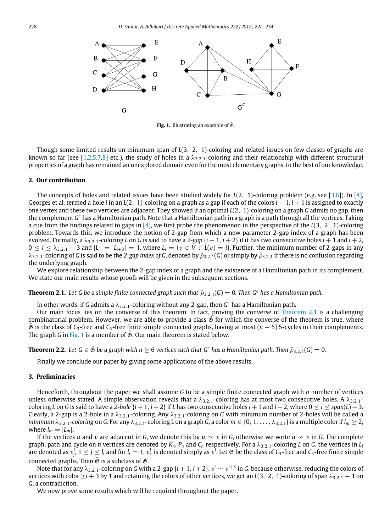<span id="page-1-1"></span>

**Fig. 1.** Illustrating an example of  $\hat{\mathfrak{G}}$ .

Though some limited results on minimum span of *L*(3, 2, 1)-coloring and related issues on few classes of graphs are known so far (see [\[1,](#page-7-0)[2,](#page-7-1)[5](#page-7-2)[,7](#page-7-3)[,8\]](#page-7-4) etc.), the study of holes in a  $\lambda_{3,2,1}$ -coloring and their relationship with different structural properties of a graph has remained an unexplored domain even for the most elementary graphs, to the best of our knowledge.

#### **2. Our contribution**

The concepts of holes and related issues have been studied widely for *L*(2, 1)-coloring problem (e.g. see [\[3,](#page-7-5)[6\]](#page-7-6)). In [\[4\]](#page-7-7), Georges et al. termed a hole *i* in an *L*(2, 1)-coloring on a graph as a gap if each of the colors *i* − 1, *i* + 1 is assigned to exactly one vertex and these two vertices are adjacent. They showed if an optimal *L*(2, 1)-coloring on a graph *G* admits no gap, then the complement *G <sup>c</sup>* has a Hamiltonian path. Note that a Hamiltonian path in a graph is a path through all the vertices. Taking a cue from the findings related to gaps in [\[4\]](#page-7-7), we first probe the phenomenon in the perspective of the *L*(3, 2, 1)-coloring problem. Towards this, we introduce the notion of 2-gap from which a new parameter 2-gap index of a graph has been evolved. Formally, a  $\lambda_{3,2,1}$ -coloring *L* on *G* is said to have a 2-gap  $\{i+1, i+2\}$  if it has two consecutive holes  $i+1$  and  $i+2$ ,  $0 \le i \le \lambda_{3,2,1}$  − 3 and  $|L_i| = |L_{i+3}| = 1$ , where  $L_i = \{v \in V : L(v) = i\}$ . Further, the minimum number of 2-gaps in any  $\lambda_{3,2,1}$ -coloring of *G* is said to be the 2-gap index of *G*, denoted by  $\hat{\rho}_{3,2,1}(G)$  or simply by  $\hat{\rho}_{3,2,1}$  if there is no confusion regarding the underlying graph.

We explore relationship between the 2-gap index of a graph and the existence of a Hamiltonian path in its complement. We state our main results whose proofs will be given in the subsequent sections.

<span id="page-1-0"></span>**Theorem 2.1.** Let G be a simple finite connected graph such that  $\hat{\rho}_{3,2,1}(G) = 0$ . Then G<sup>*c*</sup> has a Hamiltonian path.

In other words, if G admits a  $\lambda_{3,2,1}$ -coloring without any 2-gap, then  $G^c$  has a Hamiltonian path.

Our main focus lies on the converse of this theorem. In fact, proving the converse of [Theorem 2.1](#page-1-0) is a challenging combinatorial problem. However, we are able to provide a class  $\hat{\mathcal{B}}$  for which the converse of the theorem is true, where Gˆ is the class of *C*3-free and *C*5-free finite simple connected graphs, having at most (*n* − 5) 5-cycles in their complements. The graph *G* in [Fig. 1](#page-1-1) is a member of  $\mathfrak{G}$ . Our main theorem is stated below.

<span id="page-1-2"></span>**Theorem 2.2.** Let  $G \in \hat{\mathfrak{G}}$  be a graph with  $n \ge 6$  vertices such that  $G^c$  has a Hamiltonian path. Then  $\hat{\rho}_{3,2,1}(G) = 0$ .

Finally we conclude our paper by giving some applications of the above results.

#### **3. Preliminaries**

Henceforth, throughout the paper we shall assume *G* to be a simple finite connected graph with *n* number of vertices unless otherwise stated. A simple observation reveals that a  $\lambda_{3,2,1}$ -coloring has at most two consecutive holes. A  $\lambda_{3,2,1}$ coloring *L* on *G* is said to have a 2-hole  $\{i+1, i+2\}$  if *L* has two consecutive holes  $i+1$  and  $i+2$ , where  $0 \le i \le span(L) - 3$ . Clearly, a 2-gap is a 2-hole in a  $\lambda_{3,2,1}$ -coloring. Any  $\lambda_{3,2,1}$ -coloring on *G* with minimum number of 2-holes will be called a *minimum*  $\lambda_{3,2,1}$ -coloring on *G*. For any  $\lambda_{3,2,1}$ -coloring L on a graph *G*, a color  $m \in \{0, 1, \ldots, \lambda_{3,2,1}\}$  is a multiple color if  $l_m \geq 2$ , where  $l_m = |L_m|$ .

If the vertices *u* and *v* are adjacent in *G*, we denote this by  $u \sim v$  in *G*, otherwise we write  $u \sim v$  in *G*. The complete graph, path and cycle on *n* vertices are denoted by  $K_n$ ,  $P_n$  and  $C_n$  respectively. For a  $\lambda_{3,2,1}$ -coloring *L* on *G*, the vertices in  $L_i$ are denoted as  $v_j^i$ ,  $1 \le j \le l_i$  and for  $l_i=1$ ,  $v_1^i$  is denoted simply as  $v^i$ . Let  $\frak G$  be the class of  $C_3$ -free and  $C_5$ -free finite simple connected graphs. Then  $\hat{\mathfrak{G}}$  is a subclass of  $\mathfrak{G}$ .

Note that for any  $\lambda_{3,2,1}$ -coloring on  $G$  with a 2-gap  $\{i+1,i+2\}$ ,  $v^i\sim v^{i+3}$  in  $G$ , because otherwise, reducing the colors of vertices with color  $\geq i$  + 3 by 1 and retaining the colors of other vertices, we get an *L*(3, 2, 1)-coloring of span  $\lambda_{3,2,1}$  – 1 on *G*, a contradiction.

We now prove some results which will be required throughout the paper.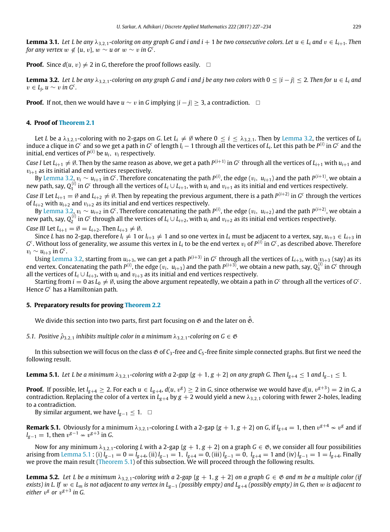<span id="page-2-3"></span>**Lemma 3.1.** Let L be any  $\lambda_{3,2,1}$ -coloring on any graph G and i and i + 1 be two consecutive colors. Let  $u \in L_i$  and  $v \in L_{i+1}$ . Then *for any vertex*  $w \notin \{u, v\}$ ,  $w \sim u$  or  $w \sim v$  *in G<sup>c</sup>*.

**Proof.** Since  $d(u, v) \neq 2$  in *G*, therefore the proof follows easily.  $\Box$ 

<span id="page-2-0"></span>**Lemma 3.2.** Let L be any  $\lambda_{3,2,1}$ -coloring on any graph G and i and j be any two colors with  $0 \leq |i - j| \leq 2$ . Then for  $u \in L_i$  and  $v \in L_j$ ,  $u \sim v$  *in*  $G^c$ .

**Proof.** If not, then we would have  $u \sim v$  in G implying  $|i - j| > 3$ , a contradiction. □

### **4. Proof of [Theorem 2.1](#page-1-0)**

Let *L* be a  $\lambda_{3,2,1}$ -coloring with no 2-gaps on *G*. Let  $L_i\neq\emptyset$  where  $0\leq i\leq\lambda_{3,2,1}.$  Then by [Lemma 3.2,](#page-2-0) the vertices of  $L_i$ induce a clique in  $G^c$  and so we get a path in  $G^c$  of length  $l_i-1$  through all the vertices of  $L_i$ . Let this path be  $P^{(i)}$  in  $G^c$  and the initial, end vertices of  $P^{(i)}$  be  $u_i, \ v_i$  respectively.

*Case I* Let  $L_{i+1}\neq\emptyset$ . Then by the same reason as above, we get a path  $P^{(i+1)}$  in  $G^c$  through all the vertices of  $L_{i+1}$  with  $u_{i+1}$  and  $v_{i+1}$  as its initial and end vertices respectively.

By [Lemma 3.2,](#page-2-0)  $v_i\sim u_{i+1}$  in  $G^c$ . Therefore concatenating the path  $P^{(i)}$ , the edge  $(v_i,\;u_{i+1})$  and the path  $P^{(i+1)}$ , we obtain a new path, say,  $Q_1^{(i)}$  in  $G^c$  through all the vertices of  $L_i\cup L_{i+1}$ , with  $u_i$  and  $v_{i+1}$  as its initial and end vertices respectively.

*Case II* Let  $L_{i+1} = \emptyset$  and  $L_{i+2} \neq \emptyset$ . Then by repeating the previous argument, there is a path  $P^{(i+2)}$  in  $G^c$  through the vertices of  $L_{i+2}$  with  $u_{i+2}$  and  $v_{i+2}$  as its initial and end vertices respectively.

By [Lemma 3.2,](#page-2-0)  $v_i\sim u_{i+2}$  in  $G^c$ . Therefore concatenating the path  $P^{(i)}$ , the edge  $(v_i,\;u_{i+2})$  and the path  $P^{(i+2)}$ , we obtain a new path, say,  $Q_2^{(i)}$  in  $G^c$  through all the vertices of  $L_i\cup L_{i+2}$ , with  $u_i$  and  $v_{i+2}$  as its initial end vertices respectively.

Case III Let 
$$
L_{i+1} = \emptyset = L_{i+2}
$$
. Then  $L_{i+3} \neq \emptyset$ .

Since *L* has no 2-gap, therefore  $l_i\neq 1$  or  $l_{i+3}\neq 1$  and so one vertex in  $L_i$  must be adjacent to a vertex, say,  $u_{i+3}\in L_{i+3}$  in  $G^c$ . Without loss of generality, we assume this vertex in  $L_i$  to be the end vertex  $v_i$  of  $P^{(i)}$  in  $G^c$ , as described above. Therefore  $v_i \sim u_{i+3}$  in  $G^c$ .

Using [Lemma 3.2,](#page-2-0) starting from  $u_{i+3}$ , we can get a path  $P^{(i+3)}$  in  $G^c$  through all the vertices of  $L_{i+3}$ , with  $v_{i+3}$  (say) as its end vertex. Concatenating the path  $P^{(i)}$ , the edge ( $v_i,\;u_{i+3}$ ) and the path  $P^{(i+3)}$ , we obtain a new path, say,  $Q_3^{(i)}$  in  $G^c$  through all the vertices of  $L_i \cup L_{i+3}$ , with  $u_i$  and  $v_{i+3}$  as its initial and end vertices respectively.

Starting from  $i=0$  as  $L_0\neq\emptyset$ , using the above argument repeatedly, we obtain a path in  $G^c$  through all the vertices of  $G^c$ . Hence *G <sup>c</sup>* has a Hamiltonian path.

#### **5. Preparatory results for proving [Theorem 2.2](#page-1-2)**

We divide this section into two parts, first part focusing on  $\mathfrak{G}$  and the later on  $\hat{\mathfrak{G}}$ .

*5.1. Positive*  $\hat{\rho}_{3,2,1}$  *inhibits multiple color in a minimum*  $\lambda_{3,2,1}$ *-coloring on G*  $\in \mathfrak{G}$ 

In this subsection we will focus on the class  $\mathfrak G$  of  $C_3$ -free and  $C_5$ -free finite simple connected graphs. But first we need the following result.

<span id="page-2-1"></span>**Lemma 5.1.** *Let L be a minimum*  $\lambda_{3,2,1}$ -coloring with a 2-gap {*g* + 1, *g* + 2} on any graph G. Then  $l_{g+4} \le 1$  and  $l_{g-1} \le 1$ .

**Proof.** If possible, let  $l_{g+4}\geq 2$ . For each  $u\in L_{g+4}$ ,  $d(u,v^g)\geq 2$  in *G*, since otherwise we would have  $d(u,v^{g+3})=2$  in *G*, a contradiction. Replacing the color of a vertex in  $L_{g+4}$  by  $g+2$  would yield a new  $\lambda_{3,2,1}$  coloring with fewer 2-holes, leading to a contradiction.

By similar argument, we have  $l_{g-1}$  ≤ 1. □

**Remark 5.1.** Obviously for a minimum  $\lambda_{3,2,1}$ -coloring *L* with a 2-gap {*g* + 1, *g* + 2} on *G*, if  $l_{g+4}=1$ , then  $v^{g+4}\nsim v^g$  and if *l*<sub>g−1</sub> = 1, then  $v^{g-1}$  ≁  $v^{g+3}$  in *G*.

Now for any minimum  $\lambda_{3,2,1}$ -coloring *L* with a 2-gap { $g + 1, g + 2$ } on a graph  $G \in \mathfrak{G}$ , we consider all four possibilities arising from [Lemma 5.1](#page-2-1) : (i)  $l_{g-1} = 0 = l_{g+4}$ , (ii)  $l_{g-1} = 1$ ,  $l_{g+4} = 0$ , (iii)  $l_{g-1} = 0$ ,  $l_{g+4} = 1$  and (iv)  $l_{g-1} = 1 = l_{g+4}$ . Finally we prove the main result [\(Theorem 5.1\)](#page-5-0) of this subsection. We will proceed through the following results.

<span id="page-2-2"></span>**Lemma 5.2.** Let L be a minimum  $\lambda_{3,2,1}$ -coloring with a 2-gap {g + 1, g + 2} on a graph  $G \in \mathfrak{G}$  and m be a multiple color (if *exists) in L. If*  $w \in L_m$  *is not adjacent to any vertex in*  $L_{g-1}$  *(possibly empty) and*  $L_{g+4}$  *(possibly empty) in G, then* w *is adjacent to* either  $v^{\mathrm{g}}$  or  $v^{\mathrm{g+3}}$  in G.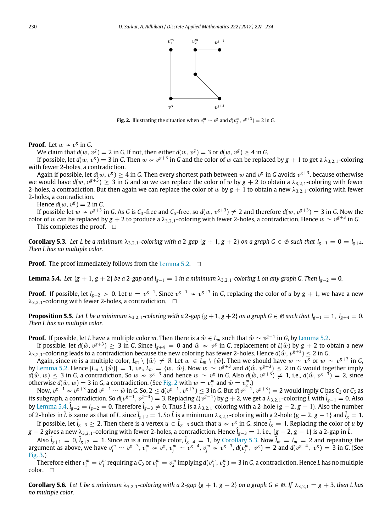

**Fig. 2.** Illustrating the situation when  $v_1^m \sim v^g$  and  $d(v_2^m, v^{g+3}) = 2$  in *G*.

<span id="page-3-0"></span>**Proof.** Let  $w \nsim v^g$  in *G*.

We claim that  $d(w, v^g) = 2$  in *G*. If not, then either  $d(w, v^g) = 3$  or  $d(w, v^g) \ge 4$  in *G*.

If possible, let  $d(w,v^g)=3$  in G. Then  $w\nsim v^{g+3}$  in G and the color of  $w$  can be replaced by  $g+1$  to get a  $\lambda_{3,2,1}$ -coloring with fewer 2-holes, a contradiction.

Again if possible, let  $d(w,v^g)\geq 4$  in  $G$ . Then every shortest path between  $w$  and  $v^g$  in  $G$  avoids  $v^{g+3}$ , because otherwise we would have  $d(w,v^{g+3})\geq 3$  in  $G$  and so we can replace the color of  $w$  by  $g+2$  to obtain a  $\lambda_{3,2,1}$ -coloring with fewer 2-holes, a contradiction. But then again we can replace the color of w by  $g + 1$  to obtain a new  $\lambda_{3,2,1}$ -coloring with fewer 2-holes, a contradiction.

Hence  $d(w, v^g) = 2$  in *G*.

If possible let  $w \nsim v^{g+3}$  in *G*. As *G* is *C*<sub>3</sub>-free and *C*<sub>5</sub>-free, so *d*(w,  $v^{g+3}) \neq 2$  and therefore *d*(w,  $v^{g+3}) = 3$  in *G*. Now the color of  $w$  can be replaced by  $g+2$  to produce a  $\lambda_{3,2,1}$ -coloring with fewer 2-holes, a contradiction. Hence  $w\sim v^{g+3}$  in  $G$ .

This completes the proof.  $\square$ 

<span id="page-3-2"></span>**Corollary 5.3.** Let L be a minimum  $\lambda_{3,2,1}$ -coloring with a 2-gap {*g* + 1, *g* + 2} on a graph *G* ∈  $\mathfrak{G}$  such that  $l_{g-1} = 0 = l_{g+4}$ . *Then L has no multiple color.*

**Proof.** The proof immediately follows from the [Lemma 5.2.](#page-2-2) □

<span id="page-3-1"></span>**Lemma 5.4.** Let  $\{g + 1, g + 2\}$  be a 2-gap and  $l_{g-1} = 1$  in a minimum  $\lambda_{3,2,1}$ -coloring L on any graph G. Then  $l_{g-2} = 0$ .

**Proof.** If possible, let  $l_{g-2}>0.$  Let  $u=v^{g-1}.$  Since  $v^{g-1}\nsim v^{g+3}$  in *G*, replacing the color of  $u$  by  $g+1,$  we have a new  $\lambda_{3,2,1}$ -coloring with fewer 2-holes, a contradiction.  $\Box$ 

<span id="page-3-3"></span>**Proposition 5.5.** Let L be a minimum  $\lambda_{3,2,1}$ -coloring with a 2-gap {*g* + 1, *g* + 2} on a graph *G* ∈  $\&$  *such that*  $l_{g-1} = 1$ ,  $l_{g+4} = 0$ . *Then L has no multiple color.*

**Proof.** If possible, let *L* have a multiple color *m*. Then there is a  $\hat{w}\in L_m$  such that  $\hat{w}\sim v^{g-1}$  in *G*, by [Lemma 5.2.](#page-2-2)

If possible, let  $d(\hat w,v^{g+3})\geq 3$  in G. Since  $l_{g+4}=0$  and  $\hat w\nsim v^g$  in G, replacement of  $L(\hat w)$  by  $g+2$  to obtain a new  $\lambda_{3,2,1}$ -coloring leads to a contradiction because the new coloring has fewer 2-holes. Hence  $d(\hat w, v^{g+3})\leq 2$  in G.

Again, since *m* is a multiple color,  $L_m\setminus\{\hat w\}\neq\emptyset$ . Let  $w\,\in\,L_m\setminus\{\hat w\}$ . Then we should have  $w\,\sim\,v^g$  or  $w\,\sim\,v^{g+3}$  in  $G_m$ by [Lemma 5.2.](#page-2-2) Hence  $|L_m \setminus \{\hat{w}\}| = 1$ , i.e.,  $L_m = \{w, \ \hat{w}\}$ . Now  $w \sim v^{g+3}$  and  $d(\hat{w}, v^{g+3}) \leq 2$  in G would together imply *d*( $\hat{w}$ ,  $w$ ) ≤ 3 in *G*, a contradiction. So  $w \sim v^{g+3}$  and hence  $w \sim v^g$  in *G*. Also *d*( $\hat{w}$ ,  $v^{g+3}$ ) ≠ 1, i.e., *d*( $\hat{w}$ ,  $v^{g+3}$ ) = 2, since otherwise  $d(\hat{w}, w) = 3$  in *G*, a contradiction. (See [Fig. 2](#page-3-0) with  $w = v_1^m$  and  $\hat{w} = v_2^m$ .)

Now,  $v^{g-1}\nsim v^{g+3}$  and  $v^{g-1}\sim \hat w$  in G. So,  $2\leq d(v^{g-1},v^{g+3})\leq 3$  in G. But  $d(v^{g-1},v^{g+3})=2$  would imply G has C3 or C5 as its subgraph, a contradiction. So  $d(v^{g-1}, v^{g+3})=3.$  Replacing  $L(v^{g-1})$  by  $g+2$ , we get a  $\lambda_{3,2,1}$ -coloring  $\hat{L}$  with  $\hat{l}_{g-1}=0.$  Also by [Lemma 5.4,](#page-3-1) ˆ*lg*−<sup>2</sup> = *<sup>l</sup>g*−<sup>2</sup> = 0. Therefore ˆ*lg*−<sup>3</sup> ̸= 0. Thus ˆ*<sup>L</sup>* is a λ3,2,1-coloring with a 2-hole {*<sup>g</sup>* − <sup>2</sup>, *<sup>g</sup>* − <sup>1</sup>}. Also the number of 2-holes in  $\hat{L}$  is same as that of *L*, since  $\hat{l}_{g+2} = 1$ . So  $\hat{L}$  is a minimum  $\lambda_{3,2,1}$ -coloring with a 2-hole { $g-2, g-1$ } and  $\hat{l}_g = 1$ . If possible, let  $\hat{l}_{g-3}\geq 2.$  Then there is a vertex  $u\in \hat{L}_{g-3}$  such that  $u\nsim v^g$  in *G*, since  $\hat{l}_g=1.$  Replacing the color of  $u$  by

*g* − 2 gives a new  $\lambda_{3,2,1}$ -coloring with fewer 2-holes, a contradiction. Hence  $\hat{l}_{g-3}$  = 1, i.e., {*g* − 2, *g* − 1} is a 2-gap in  $\hat{l}$ .

Also  $\hat{l}_{g+1}=0$ ,  $\hat{l}_{g+2}=1$ . Since  $m$  is a multiple color,  $\hat{l}_{g-4}=1$ , by [Corollary 5.3.](#page-3-2) Now  $\hat{l}_m=l_m=2$  and repeating the argument as above, we have  $v_i^m \sim v^{g-3}$ ,  $v_i^m \sim v^g$ ,  $v_j^m \sim v^{g-4}$ ,  $v_j^m \approx v^{g-3}$ ,  $d(v_j^m, v^g) = 2$  and  $d(v^{g-4}, v^g) = 3$  in G. (See [Fig. 3.](#page-4-0))

Therefore either  $v_i^m=v_1^m$  requiring a  $C_3$  or  $v_i^m=v_2^m$  implying  $d(v_1^m,v_2^m)=3$  in  $G$ , a contradiction. Hence  $L$  has no multiple color. □

**Corollary 5.6.** Let L be a minimum  $\lambda_{3,2,1}$ -coloring with a 2-gap {g + 1, g + 2} on a graph  $G \in \mathfrak{G}$ . If  $\lambda_{3,2,1} = g + 3$ , then L has *no multiple color.*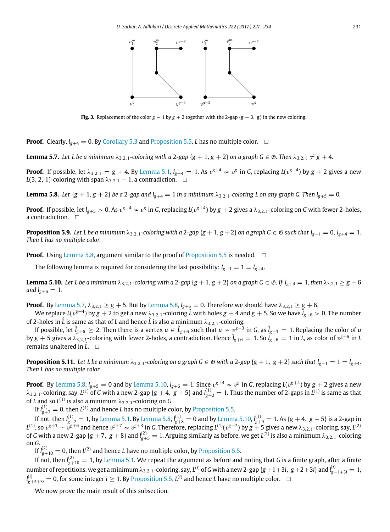

<span id="page-4-0"></span>**Fig. 3.** Replacement of the color  $g - 1$  by  $g + 2$  together with the 2-gap  $\{g - 3, g\}$  in the new coloring.

**Proof.** Clearly,  $I_{g+4} = 0$ . By [Corollary 5.3](#page-3-2) and [Proposition 5.5,](#page-3-3) *L* has no multiple color. □

<span id="page-4-2"></span>**Lemma 5.7.** Let L be a minimum  $\lambda_{3,2,1}$ -coloring with a 2-gap { $g + 1$ ,  $g + 2$ } on a graph  $G \in \mathfrak{G}$ . Then  $\lambda_{3,2,1} \neq g + 4$ .

**Proof.** If possible, let  $\lambda_{3,2,1}=g+4$ . By [Lemma 5.1,](#page-2-1)  $l_{g+4}=1$ . As  $v^{g+4}\nsim v^g$  in *G*, replacing  $L(v^{g+4})$  by  $g+2$  gives a new *L*(3, 2, 1)-coloring with span  $\lambda_{3,2,1}$  – 1, a contradiction.  $\Box$ 

<span id="page-4-1"></span>**Lemma 5.8.** Let  $\{g + 1, g + 2\}$  be a 2-gap and  $l_{g+4} = 1$  in a minimum  $\lambda_{3,2,1}$ -coloring L on any graph G. Then  $l_{g+5} = 0$ .

**Proof.** If possible, let  $l_{g+5}>0$ . As  $v^{g+4}\nsim v^g$  in *G*, replacing  $L(v^{g+4})$  by  $g+2$  gives a  $\lambda_{3,2,1}$ -coloring on *G* with fewer 2-holes, a contradiction. □

<span id="page-4-4"></span>**Proposition 5.9.** Let L be a minimum  $\lambda_{3,2,1}$ -coloring with a 2-gap {*g* + 1, *g* + 2} on a graph *G* ∈  $\mathfrak{G}$  such that  $l_{g-1} = 0$ ,  $l_{g+4} = 1$ . *Then L has no multiple color.*

**Proof.** Using [Lemma 5.8,](#page-4-1) argument similar to the proof of [Proposition 5.5](#page-3-3) is needed.  $\Box$ 

The following lemma is required for considering the last possibility:  $l_{g-1} = 1 = l_{g+4}$ .

<span id="page-4-3"></span>**Lemma 5.10.** Let L be a minimum  $\lambda_{3,2,1}$ -coloring with a 2-gap {*g* + 1, *g* + 2} on a graph  $G \in \mathfrak{G}$ . If  $l_{g+4} = 1$ , then  $\lambda_{3,2,1} \geq g + 6$ *and*  $l_{\text{g+6}} = 1$ *.* 

**Proof.** By [Lemma 5.7,](#page-4-2)  $\lambda_{3,2,1} \geq g + 5$ . But by [Lemma 5.8,](#page-4-1)  $l_{g+5} = 0$ . Therefore we should have  $\lambda_{3,2,1} \geq g + 6$ .

We replace  $L(v^{g+4})$  by  $g+2$  to get a new  $\lambda_{3,2,1}$ -coloring  $\hat L$  with holes  $g+4$  and  $g+5.$  So we have  $\hat l_{g+6}>0.$  The number of 2-holes in  $\hat{L}$  is same as that of *L* and hence  $\hat{L}$  is also a minimum  $\lambda_{3,2,1}$ -coloring.

If possible, let  $\hat{l}_{g+6}\geq2.$  Then there is a vertex  $u\in\hat{L}_{g+6}$  such that  $u\nsim v^{g+3}$  in  $G$ , as  $\hat{l}_{g+3}=1.$  Replacing the color of  $u$ by  $g+5$  gives a  $\lambda_{3,2,1}$ -coloring with fewer 2-holes, a contradiction. Hence  $\hat{l}_{g+6}=1.$  So  $l_{g+6}=1$  in *L*, as color of  $v^{g+6}$  in *L* remains unaltered in  $\hat{L}$ .  $\square$ 

<span id="page-4-5"></span>**Proposition 5.11.** Let L be a minimum  $\lambda_{3,2,1}$ -coloring on a graph G ∈  $\mathfrak{G}$  with a 2-gap {*g* + 1, *g* + 2} such that  $l_{g-1} = 1 = l_{g+4}$ . *Then L has no multiple color.*

**Proof.** By [Lemma 5.8,](#page-4-1)  $l_{g+5}=0$  and by [Lemma 5.10,](#page-4-3)  $l_{g+6}=1$ . Since  $v^{g+4}\nsim v^g$  in *G*, replacing *L*( $v^{g+4}$ ) by  $g+2$  gives a new  $\lambda_{3,2,1}$ -coloring, say,  $L^{(1)}$  of *G* with a new 2-gap {*g* + 4, *g* + 5} and  $l_{g+2}^{(1)}=1$ . Thus the number of 2-gaps in  $L^{(1)}$  is same as that of *L* and so  $L^{(1)}$  is also a minimum  $\lambda_{3,2,1}$ -coloring on *G*.

If  $\int_{g+7}^{(1)}$  = 0, then  $L^{(1)}$  and hence *L* has no multiple color, by [Proposition 5.5.](#page-3-3)

If not, then  $\int_{g+7}^{(1)}=1$ , by [Lemma 5.1.](#page-2-1) By [Lemma 5.8,](#page-4-1)  $\int_{g+8}^{(1)}=0$  and by [Lemma 5.10,](#page-4-3)  $\int_{g+9}^{(1)}=1$ . As  $\{g+4,\;g+5\}$  is a 2-gap in  $L^{(1)}$ , so  $v^{g+3}\sim \tilde{v}^{g+6}$  and hence  $v^{g+7}\nsim v^{g+3}$  in *G*. Therefore, replacing  $L^{(1)}(v^{g+7})$  by  $g+5$  gives a new  $\lambda_{3,2,1}$ -coloring, say,  $L^{(2)}$ of G with a new 2-gap {g + 7, g + 8} and  $l_{g+5}^{(2)}=1$ . Arguing similarly as before, we get  $L^{(2)}$  is also a minimum  $\lambda_{3,2,1}$ -coloring on *G*.

If  $l_{g+10}^{(2)} = 0$ , then  $L^{(2)}$  and hence *L* have no multiple color, by [Proposition 5.5.](#page-3-3)

If not, then  $\int_{g+10}^{(2)}=1$ , by [Lemma 5.1.](#page-2-1) We repeat the argument as before and noting that *G* is a finite graph, after a finite number of repetitions, we get a minimum  $\lambda_{3,2,1}$ -coloring, say,  $L^{(i)}$  of  $G$  with a new 2-gap { $g+1+3i,~g+2+3i$ } and  $l_{g-1+3i}^{(i)}=1,$  $l_{g+4+3i}^{(i)} = 0$ , for some integer  $i \geq 1$ . By [Proposition 5.5,](#page-3-3)  $L^{(i)}$  and hence *L* have no multiple color.  $\Box$ 

We now prove the main result of this subsection.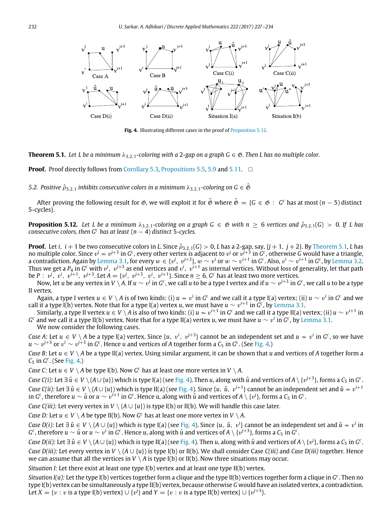<span id="page-5-2"></span>

Fig. 4. Illustrating different cases in the proof of [Proposition 5.12.](#page-5-1)

<span id="page-5-0"></span>**Theorem 5.1.** *Let L be a minimum*  $\lambda_{3,2,1}$ -coloring with a 2-gap on a graph  $G \in \mathcal{B}$ . Then L has no multiple color.

**Proof.** Proof directly follows from [Corollary 5.3,](#page-3-2) [Propositions 5.5,](#page-3-3) [5.9](#page-4-4) and [5.11.](#page-4-5) □

*5.2. Positive*  $\hat{\rho}_{3,2,1}$  *inhibits consecutive colors in a minimum*  $\lambda_{3,2,1}$ *-coloring on G*  $\in \hat{\mathfrak{G}}$ 

After proving the following result for &, we will exploit it for  $\hat\mathfrak G$  where  $\hat\mathfrak G=\{G\in\mathfrak G\,:\,\,G^c$  has at most (*n*  $-$  5) distinct 5-cycles}.

<span id="page-5-1"></span>**Proposition 5.12.** Let L be a minimum  $\lambda_{3,2,1}$ -coloring on a graph  $G \in \mathcal{B}$  with  $n \geq 6$  vertices and  $\hat{\rho}_{3,2,1}(G) > 0$ . If L has *consecutive colors, then G<sup><i>c*</sup> has at least ( $n - 4$ ) distinct 5-cycles.

**Proof.** Let  $i$ ,  $i+1$  be two consecutive colors in *L*. Since  $\hat{\rho}_{3,2,1}(G)>0$ ,  $L$  has a 2-gap, say,  $\{j+1,\,j+2\}$ . By [Theorem 5.1,](#page-5-0)  $L$  has no multiple color. Since  $v^j \nsim v^{j+3}$  in  $G^c$ , every other vertex is adjacent to  $v^j$  or  $v^{j+3}$  in  $G^c$ , otherwise  $G$  would have a triangle, a contradiction. Again by [Lemma 3.1,](#page-2-3) for every  $w\in\{v^j,~v^{j+3}\}, w\sim v^i$  or  $w\sim v^{i+1}$  in  $G^c$ . Also,  $v^i\sim v^{i+1}$  in  $G^c$ , by [Lemma 3.2.](#page-2-0) Thus we get a  $P_4$  in  $G^c$  with  $v^j,\;v^{j+3}$  as end vertices and  $v^i,\;v^{i+1}$  as internal vertices. Without loss of generality, let that path be  $P: \; v^j,\; v^i,\; v^{i+1},\; v^{j+3}.$  Let  $A=\{v^j,\; v^{j+3},\; v^i,\; v^{i+1}\}.$  Since  $n\geq 6,$   $G^c$  has at least two more vertices.

Now, let  $u$  be any vertex in V  $\setminus$  A. If  $u\sim v^j$  in  $G^c$ , we call  $u$  to be a type I vertex and if  $u\sim v^{j+3}$  in  $G^c$ , we call  $u$  to be a type II vertex.

Again, a type I vertex  $u\in V\setminus A$  is of two kinds: (i)  $u\nsim v^i$  in  $G^c$  and we call it a type I(a) vertex; (ii)  $u\sim v^i$  in  $G^c$  and we call it a type I(b) vertex. Note that for a type I(a) vertex *u*, we must have  $u\sim v^{i+1}$  in  $G^c$ , by [Lemma 3.1.](#page-2-3)

Similarly, a type II vertex  $u\in V\setminus A$  is also of two kinds: (i)  $u\nsim v^{i+1}$  in  $G^c$  and we call it a type II(a) vertex; (ii)  $u\sim v^{i+1}$  in *G c* and we call it a type II(b) vertex. Note that for a type II(a) vertex *u*, we must have *u* ∼ v *i* in *G c* , by [Lemma 3.1.](#page-2-3)

We now consider the following cases.

*Case A:* Let  $u \in V \setminus A$  be a type I(a) vertex. Since  $\{u, v^i, v^{j+3}\}$  cannot be an independent set and  $u \nsim v^i$  in  $G^c$ , so we have  $u\sim v^{j+3}$  or  $v^i\sim v^{j+3}$  in  $G^c$  . Hence  $u$  and vertices of A together form a  $\mathcal{C}_5$  in  $G^c$  . (See [Fig. 4.](#page-5-2))

*Case B*: Let  $u \in V \setminus A$  be a type II(a) vertex. Using similar argument, it can be shown that *u* and vertices of *A* together form a *C*<sup>5</sup> in *G c* . (See [Fig. 4.](#page-5-2))

*Case C:* Let  $u \in V \setminus A$  be type I(b). Now  $G^c$  has at least one more vertex in  $V \setminus A$ .

 $\mathcal{C}$ ase C(i): Let  $\exists\,\hat{u}\in V\setminus(A\cup\{u\})$  which is type I(a) (see [Fig. 4\)](#page-5-2). Then  $u$ , along with  $\hat{u}$  and vertices of  $A\setminus\{v^{j+3}\}$ , forms a  $\mathcal{C}_5$  in  $G^c$ .  $\zeta$  *Case C(ii):* Let  $\exists$   $\hat{u}\in V\setminus (A\cup \{u\})$  which is type II(a) (see [Fig. 4\)](#page-5-2). Since  $\{u,\ \hat{u},\ v^{i+1}\}$  cannot be an independent set and  $\hat{u}\nsim v^{i+1}$ in  $G^c$ , therefore  $u\sim \hat u$  or  $u\sim v^{i+1}$  in  $G^c$ . Hence  $u$ , along with  $\hat u$  and vertices of  $A\setminus\{v^j\}$ , forms a  $\mathcal C_5$  in  $G^c$ .

*Case C(iii):* Let every vertex in *V*  $\setminus$  (*A*  $\cup$  {*u*}) is type I(b) or II(b). We will handle this case later.

*Case D:* Let  $u \in V \setminus A$  be type II(b). Now  $G^c$  has at least one more vertex in  $V \setminus A$ .

*Case D(i):* Let  $\exists \hat{u} \in V \setminus (A \cup \{u\})$  which is type I(a) (see [Fig. 4\)](#page-5-2). Since  $\{u, \hat{u}, v^i\}$  cannot be an independent set and  $\hat{u} \nsim v^i$  in  $G^c$ , therefore  $u\sim\hat{u}$  or  $u\sim v^i$  in  $G^c$ . Hence  $u$ , along with  $\hat{u}$  and vertices of  $A\setminus\{v^{j+3}\}$ , forms a  $\mathcal{C}_5$  in  $G^c$ .

 $\mathcal{C}$ ase D(ii): Let  $\exists\ \hat{u}\in V\setminus (A\cup\{u\})$  which is type II(a) (see [Fig. 4\)](#page-5-2). Then  $u$ , along with  $\hat{u}$  and vertices of  $A\setminus\{v^j\}$ , forms a  $\mathcal{C}_5$  in  $G^c$ . *Case D(iii):* Let every vertex in  $V \setminus (A \cup \{u\})$  is type I(b) or II(b). We shall consider Case *C(iii)* and *Case D(iii)* together. Hence we can assume that all the vertices in  $V \setminus A$  is type I(b) or II(b). Now three situations may occur.

*Situation I:* Let there exist at least one type I(b) vertex and at least one type II(b) vertex.

*Situation I(a):* Let the type I(b) vertices together form a clique and the type II(b) vertices together form a clique in *G c* . Then no type I(b) vertex can be simultaneously a type II(b) vertex, because otherwise *G* would have an isolated vertex, a contradiction. Let  $X = \{v : v$  is a type I(b) vertex}  $\cup$   $\{v^j\}$  and  $Y = \{v : v$  is a type II(b) vertex}  $\cup$   $\{v^{j+3}\}$ .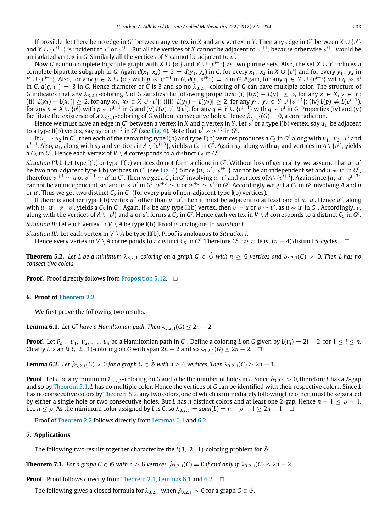If possible, let there be no edge in  $G^c$  between any vertex in  $X$  and any vertex in  $Y.$  Then any edge in  $G^c$  between  $X\cup \{v^i\}$ and *Y* ∪ { $v^{i+1}$ } is incident to  $v^i$  or  $v^{i+1}$ . But all the vertices of *X* cannot be adjacent to  $v^{i+1}$ , because otherwise  $v^{i+1}$  would be an isolated vertex in *G*. Similarly all the vertices of *Y* cannot be adjacent to v *i* .

Now *G* is non-complete bipartite graph with *X* ∪ {v<sup>i</sup>} and *Y* ∪ {v<sup>i+1</sup>} as two partite sets. Also, the set *X* ∪ *Y* induces a complete bipartite subgraph in *G*. Again  $d(x_1, x_2) = 2 = d(y_1, y_2)$  in *G*, for every  $x_1, x_2$  in  $X \cup \{v^i\}$  and for every  $y_1, y_2$  in  $Y\cup \{v^{i+1}\}$ . Also, for any  $p\,\in X\cup\{v^i\}$  with  $p\,\nsim\,v^{i+1}$  in G,  $d(p,\,v^{i+1})\,=\,3$  in G. Again, for any  $q\,\in\,Y\cup\{v^{i+1}\}$  with  $q\,\nsim\,v^i$ in *G*,  $d(q,v^i)=3$  in *G*. Hence diameter of *G* is 3 and so no  $\lambda_{3,2,1}$ -coloring of *G* can have multiple color. The structure of *G* indicates that any  $\lambda_{3,2,1}$ -coloring *L* of *G* satisfies the following properties: (i)  $|L(x) - L(y)| \geq 3$ , for any  $x \in X, y \in Y$ ; (ii)  $|L(x_1) - L(x_2)| \ge 2$ , for any  $x_1, x_2 \in X \cup \{v^i\}$ ; (iii)  $|L(y_1) - L(y_2)| \ge 2$ , for any  $y_1, y_2 \in Y \cup \{v^{i+1}\}$ ; (iv)  $L(p) \ne L(v^{i+1})$ . for any  $p\in X\cup \{v^i\}$  with  $p\nsim v^{i+1}$  in G and (v)  $L(q)\neq L(v^i)$ , for any  $q\in Y\cup \{v^{i+1}\}$  with  $q\nsim v^i$  in G. Properties (iv) and (v) facilitate the existence of a  $\lambda_{3,2,1}$ -coloring of *G* without consecutive holes. Hence  $\hat{\rho}_{3,2,1}(G) = 0$ , a contradiction.

Hence we must have an edge in G<sup>c</sup> between a vertex in *X* and a vertex in Y. Let  $v^j$  or a type I(b) vertex, say  $u_1$ , be adjacent to a type II(b) vertex, say  $u_2$ , or  $v^{j+3}$  in  $G^c$  (see [Fig. 4\)](#page-5-2). Note that  $v^j \nsim v^{j+3}$  in  $G^c$ .

If  $u_1\sim u_2$  in  $G^c$ , then each of the remaining type I(b) and type II(b) vertices produces a  $\mathcal{C}_5$  in  $G^c$  along with  $u_1,\;u_2,\;v^i$  and  $v^{i+1}$ . Also,  $u_1$ , along with  $u_2$  and vertices in A \ { $v^{j+3}$ }, yields a C5 in G $^c$ . Again  $u_2$ , along with  $u_1$  and vertices in A \ { $v^j$ }, yields a  $C_5$  in  $G^c$  . Hence each vertex of  $V \setminus A$  corresponds to a distinct  $C_5$  in  $G^c$  .

*Situation I(b):* Let type I(b) or type II(b) vertices do not form a clique in *G c* . Without loss of generality, we assume that *u*, *u* ′ be two non-adjacent type I(b) vertices in G<sup>c</sup> (see [Fig. 4\)](#page-5-2). Since {*u*, *u'*, *v*<sup>i+1</sup>} cannot be an independent set and *u*  $\sim$  *u'* in G<sup>c</sup>, therefore  $v^{i+1}\sim u$  or  $v^{i+1}\sim u'$  in  $G^c$  . Then we get a  $\mathcal{C}_5$  in  $G^c$  involving  $u,~u'$  and vertices of  $A\setminus\{v^{j+3}\}$ . Again since  $\{u,~u' ,~v^{j+3}\}$ cannot be an independent set and  $u\nsim u'$  in  $G^c$ ,  $v^{j+3}\sim u$  or  $v^{j+3}\sim u'$  in  $G^c$ . Accordingly we get a  $C_5$  in  $G^c$  involving A and  $u$ or u'. Thus we get two distinct  $C_5$  in  $G^c$  (for every pair of non-adjacent type I(b) vertices).

If there is another type I(b) vertex *u''* other than *u*, *u'*, then it must be adjacent to at least one of *u*, *u'*. Hence *u''*, along with  $u,~u',~v^j,~v^i,$  yields a  $\mathsf{C}_5$  in  $G^{\mathsf{c}}$ . Again, if  $v$  be any type II(b) vertex, then  $v\sim u$  or  $v\sim u'$ , as  $u\nsim u'$  in  $G^{\mathsf{c}}$ . Accordingly,  $v,$ along with the vertices of  $A\setminus\{v^j\}$  and  $u$  or  $u'$ , forms a  $C_5$  in  $G^c$ . Hence each vertex in  $V\setminus A$  corresponds to a distinct  $C_5$  in  $G^c$ .

*Situation II:* Let each vertex in *V* \ *A* be type I(b). Proof is analogous to *Situation I*.

*Situation III:* Let each vertex in *V* \ *A* be type II(b). Proof is analogous to *Situation I*.

Hence every vertex in *V* \ A corresponds to a distinct  $C_5$  in  $G^c$ . Therefore  $G^c$  has at least  $(n-4)$  distinct 5-cycles.  $\Box$ 

<span id="page-6-0"></span>**Theorem 5.2.** Let L be a minimum  $\lambda_{3,2,1}$ -coloring on a graph  $G \in \hat{\mathfrak{G}}$  with  $n > 6$  vertices and  $\hat{\rho}_{3,2,1}(G) > 0$ . Then L has no *consecutive colors.*

**Proof.** Proof directly follows from [Proposition 5.12.](#page-5-1) □

#### **6. Proof of [Theorem 2.2](#page-1-2)**

We first prove the following two results.

<span id="page-6-1"></span>**Lemma 6.1.** *Let*  $G^c$  *have a Hamiltonian path. Then*  $\lambda_{3,2,1}(G) \leq 2n - 2$ *.* 

**Proof.** Let  $P_n$ :  $u_1, u_2, \ldots, u_n$  be a Hamiltonian path in  $G^c$ . Define a coloring L on G given by  $L(u_i) = 2i - 2$ , for  $1 \le i \le n$ . Clearly *L* is an *L*(3, 2, 1)-coloring on *G* with span 2*n* − 2 and so  $\lambda_{3,2,1}(G)$  ≤ 2*n* − 2. □

<span id="page-6-2"></span>**Lemma 6.2.** *Let*  $\hat{\rho}_{3,2,1}(G) > 0$  *for a graph*  $G \in \hat{\mathfrak{G}}$  *with*  $n \geq 6$  *vertices. Then*  $\lambda_{3,2,1}(G) \geq 2n - 1$ *.* 

**Proof.** Let *L* be any minimum  $\lambda_{3,2,1}$ -coloring on *G* and  $\rho$  be the number of holes in *L*. Since  $\hat{\rho}_{3,2,1} > 0$ , therefore *L* has a 2-gap and so by [Theorem 5.1,](#page-5-0) *L* has no multiple color. Hence the vertices of *G* can be identified with their respective colors. Since *L* has no consecutive colors by [Theorem 5.2,](#page-6-0) any two colors, one of which is immediately following the other, must be separated by either a single hole or two consecutive holes. But *L* has *n* distinct colors and at least one 2-gap. Hence *n* − 1 ≤ ρ − 1, i.e.,  $n \le \rho$ . As the minimum color assigned by *L* is 0, so  $\lambda_{3,2,1} = span(L) = n + \rho - 1 \ge 2n - 1$ . □

Proof of [Theorem 2.2](#page-1-2) follows directly from [Lemmas 6.1](#page-6-1) and [6.2.](#page-6-2)

#### **7. Applications**

The following two results together characterize the *L*(3, 2, 1)-coloring problem for *&*.

<span id="page-6-3"></span>**Theorem 7.1.** *For a graph G*  $\in \hat{\mathfrak{G}}$  *with n*  $\geq$  6 *vertices,*  $\hat{\rho}_{3,2,1}(G) = 0$  *if and only if*  $\lambda_{3,2,1}(G) \leq 2n - 2$ *.* 

**Proof.** Proof follows directly from [Theorem 2.1,](#page-1-0) [Lemmas 6.1](#page-6-1) and [6.2.](#page-6-2) □

The following gives a closed formula for  $\lambda_{3,2,1}$  when  $\hat{\rho}_{3,2,1} > 0$  for a graph  $G \in \mathfrak{G}$ .